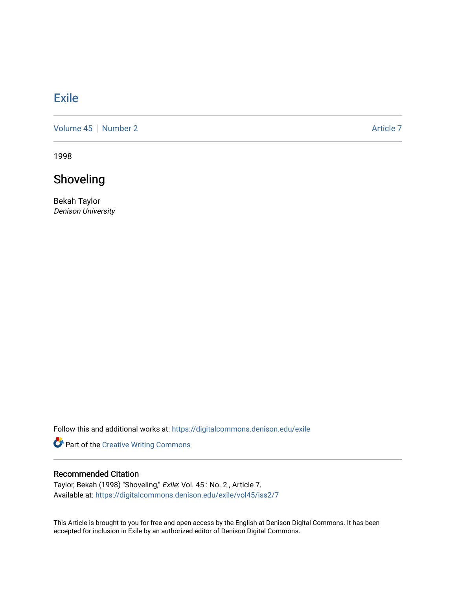## **[Exile](https://digitalcommons.denison.edu/exile)**

[Volume 45](https://digitalcommons.denison.edu/exile/vol45) | [Number 2](https://digitalcommons.denison.edu/exile/vol45/iss2) Article 7

1998

## Shoveling

Bekah Taylor Denison University

Follow this and additional works at: [https://digitalcommons.denison.edu/exile](https://digitalcommons.denison.edu/exile?utm_source=digitalcommons.denison.edu%2Fexile%2Fvol45%2Fiss2%2F7&utm_medium=PDF&utm_campaign=PDFCoverPages) 

Part of the [Creative Writing Commons](http://network.bepress.com/hgg/discipline/574?utm_source=digitalcommons.denison.edu%2Fexile%2Fvol45%2Fiss2%2F7&utm_medium=PDF&utm_campaign=PDFCoverPages) 

## Recommended Citation

Taylor, Bekah (1998) "Shoveling," Exile: Vol. 45 : No. 2 , Article 7. Available at: [https://digitalcommons.denison.edu/exile/vol45/iss2/7](https://digitalcommons.denison.edu/exile/vol45/iss2/7?utm_source=digitalcommons.denison.edu%2Fexile%2Fvol45%2Fiss2%2F7&utm_medium=PDF&utm_campaign=PDFCoverPages) 

This Article is brought to you for free and open access by the English at Denison Digital Commons. It has been accepted for inclusion in Exile by an authorized editor of Denison Digital Commons.